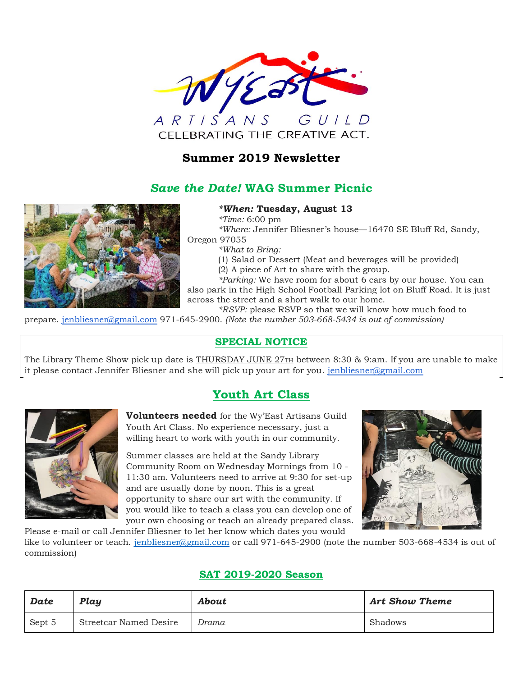

## **Summer 2019 Newsletter**

## *Save the Date!* **WAG Summer Picnic**



### *\*When:* **Tuesday, August 13**

*\*Time:* 6:00 pm

*\*Where:* Jennifer Bliesner's house—16470 SE Bluff Rd, Sandy,

Oregon 97055

*\*What to Bring:*

(1) Salad or Dessert (Meat and beverages will be provided) (2) A piece of Art to share with the group.

*\*Parking:* We have room for about 6 cars by our house. You can also park in the High School Football Parking lot on Bluff Road. It is just across the street and a short walk to our home.

*\*RSVP:* please RSVP so that we will know how much food to prepare. [jenbliesner@gmail.com](mailto:jenbliesner@gmail.com) 971-645-2900. *(Note the number 503-668-5434 is out of commission)*

## **SPECIAL NOTICE**

The Library Theme Show pick up date is THURSDAY JUNE 27TH between 8:30 & 9:am. If you are unable to make it please contact Jennifer Bliesner and she will pick up your art for you. [jenbliesner@gmail.com](mailto:jenbliesner@gmail.com)

## **Youth Art Class**



**Volunteers needed** for the Wy'East Artisans Guild Youth Art Class. No experience necessary, just a willing heart to work with youth in our community.

Summer classes are held at the Sandy Library Community Room on Wednesday Mornings from 10 - 11:30 am. Volunteers need to arrive at 9:30 for set-up and are usually done by noon. This is a great opportunity to share our art with the community. If you would like to teach a class you can develop one of your own choosing or teach an already prepared class.



Please e-mail or call Jennifer Bliesner to let her know which dates you would like to volunteer or teach. [jenbliesner@gmail.com](mailto:jenbliesner@gmail.com) or call 971-645-2900 (note the number 503-668-4534 is out of commission)

## **SAT 2019-2020 Season**

| Date   | Play                   | <b>About</b> | <b>Art Show Theme</b> |
|--------|------------------------|--------------|-----------------------|
| Sept 5 | Streetcar Named Desire | Drama        | Shadows               |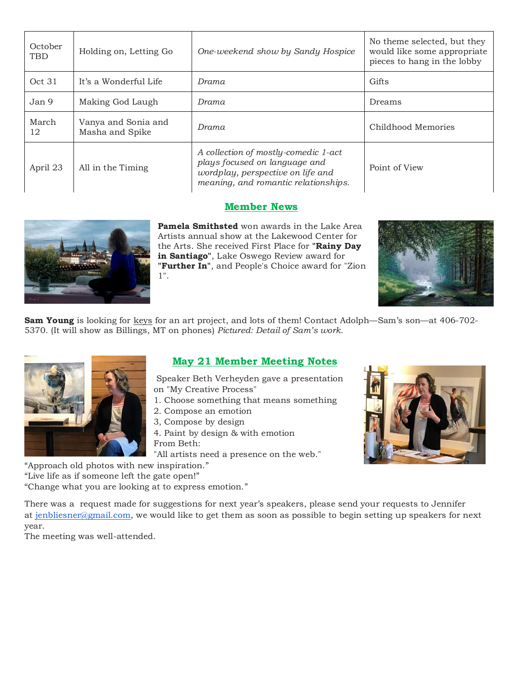| October<br><b>TBD</b> | Holding on, Letting Go                 | One-weekend show by Sandy Hospice                                                                                                                                   | No theme selected, but they<br>would like some appropriate<br>pieces to hang in the lobby |  |
|-----------------------|----------------------------------------|---------------------------------------------------------------------------------------------------------------------------------------------------------------------|-------------------------------------------------------------------------------------------|--|
| Oct 31                | It's a Wonderful Life                  | Drama                                                                                                                                                               | Gifts                                                                                     |  |
| Jan 9                 | Making God Laugh                       | Drama                                                                                                                                                               | Dreams                                                                                    |  |
| March<br>12           | Vanya and Sonia and<br>Masha and Spike | Drama                                                                                                                                                               | Childhood Memories                                                                        |  |
| April 23              | All in the Timing                      | A collection of mostly-comedic 1-act<br>plays focused on language and<br>Point of View<br>wordplay, perspective on life and<br>meaning, and romantic relationships. |                                                                                           |  |

## **Member News**



**Pamela Smithsted** won awards in the Lake Area Artists annual show at the Lakewood Center for the Arts. She received First Place for **"Rainy Day in Santiago"**, Lake Oswego Review award for **"Further In"**, and People's Choice award for "Zion 1".



**Sam Young** is looking for keys for an art project, and lots of them! Contact Adolph—Sam's son—at 406-702-5370. (It will show as Billings, MT on phones) *Pictured: Detail of Sam's work.*



## **May 21 Member Meeting Notes**

Speaker Beth Verheyden gave a presentation on "My Creative Process"

- 1. Choose something that means something
- 2. Compose an emotion
- 3, Compose by design
- 4. Paint by design & with emotion From Beth:
- "All artists need a presence on the web."

"Approach old photos with new inspiration."

"Live life as if someone left the gate open!"

"Change what you are looking at to express emotion."

There was a request made for suggestions for next year's speakers, please send your requests to Jennifer at [jenbliesner@gmail.com,](mailto:jenbliesner@gmail.com) we would like to get them as soon as possible to begin setting up speakers for next year.

The meeting was well-attended.

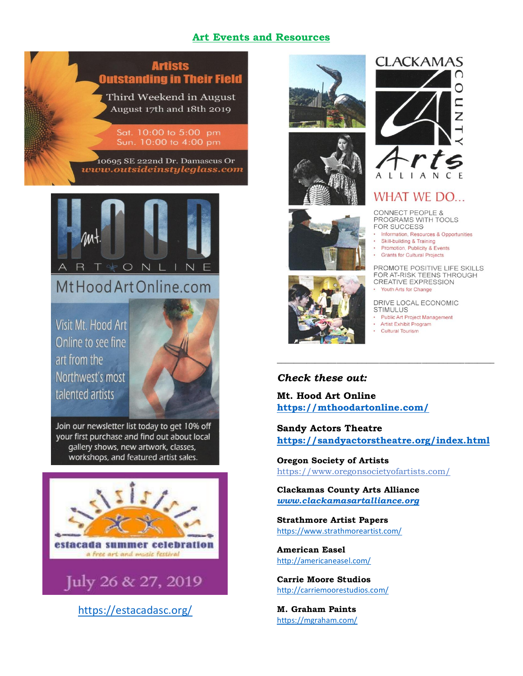## **Art Events and Resources**





# MtHood Art Online.com

Visit Mt. Hood Art Online to see fine art from the Northwest's most talented artists

Join our newsletter list today to get 10% off your first purchase and find out about local gallery shows, new artwork, classes, workshops, and featured artist sales.



<https://estacadasc.org/>











## **WHAT WE DO...**

**CONNECT PEOPLE &** PROGRAMS WITH TOOLS FOR SUCCESS

- Information, Resources & Opportunities
- Skill-building & Training
- Promotion, Publicity & Events  $\omega$
- · Grants for Cultural Projects

PROMOTE POSITIVE LIFE SKILLS FOR AT-RISK TEENS THROUGH CREATIVE EXPRESSION Youth Arts for Change

DRIVE LOCAL ECONOMIC **STIMULUS** 

- ¥ **Public Art Project Management**
- $\mathcal{L}$ **Artist Exhibit Program**
- **Cultural Tourism**

## *Check these out:*

**Mt. Hood Art Online <https://mthoodartonline.com/>**

**Sandy Actors Theatre <https://sandyactorstheatre.org/index.html>**

*\_\_\_\_\_\_\_\_\_\_\_\_\_\_\_\_\_\_\_\_\_\_\_\_\_\_\_\_\_\_\_\_\_\_\_\_\_\_\_\_\_\_\_\_\_\_\_\_\_\_\_*

**Oregon Society of Artists** <https://www.oregonsocietyofartists.com/>

**Clackamas County Arts Alliance** *[www.clackamasartalliance.org](http://www.clackamasartalliance.org/)*

**Strathmore Artist Papers** <https://www.strathmoreartist.com/>

**American Easel** <http://americaneasel.com/>

**Carrie Moore Studios** <http://carriemoorestudios.com/>

**M. Graham Paints** <https://mgraham.com/>